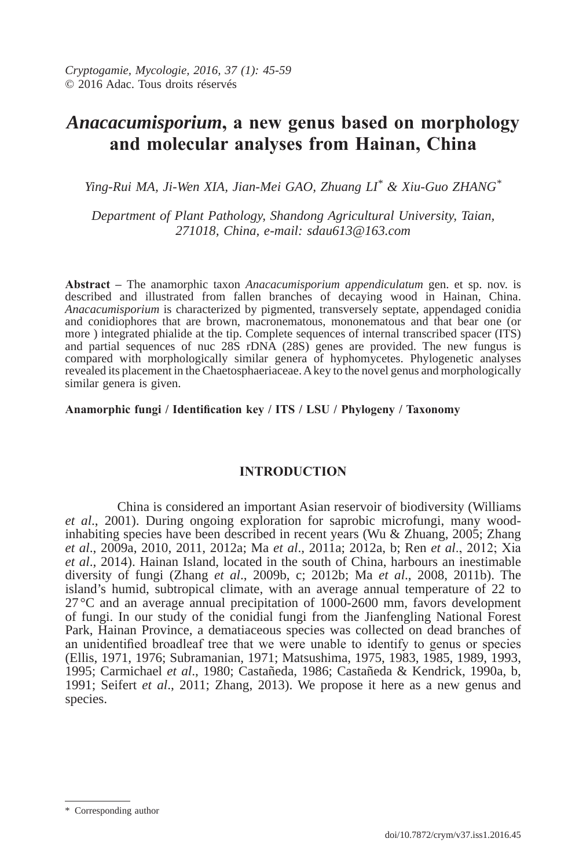# *Anacacumisporium***, a new genus based on morphology and molecular analyses from hainan, china**

*Ying-Rui MA, Ji-Wen XIA, Jian-Mei GAO, Zhuang LI\* & Xiu-Guo ZHANG\**

*Department of Plant Pathology, Shandong Agricultural University, Taian, 271018, China, e-mail: sdau613@163.com* 

**Abstract –** The anamorphic taxon *Anacacumisporium appendiculatum* gen. et sp. nov. is described and illustrated from fallen branches of decaying wood in Hainan, China. *Anacacumisporium* is characterized by pigmented, transversely septate, appendaged conidia and conidiophores that are brown, macronematous, mononematous and that bear one (or more ) integrated phialide at the tip. Complete sequences of internal transcribed spacer (ITS) and partial sequences of nuc 28S rDNA  $(28S)$  genes are provided. The new fungus is compared with morphologically similar genera of hyphomycetes. Phylogenetic analyses revealed its placement in the Chaetosphaeriaceae. A key to the novel genus and morphologically similar genera is given.

**Anamorphic fungi / Identification key / ITS / lSu / Phylogeny / Taxonomy**

# **INTroducTIoN**

 China is considered an important Asian reservoir of biodiversity (Williams *et al*., 2001). During ongoing exploration for saprobic microfungi, many woodinhabiting species have been described in recent years (Wu & Zhuang, 2005; Zhang *et al*., 2009a, 2010, 2011, 2012a; Ma *et al*., 2011a; 2012a, b; Ren *et al*., 2012; Xia *et al*., 2014). Hainan Island, located in the south of China, harbours an inestimable diversity of fungi (Zhang *et al*., 2009b, c; 2012b; Ma *et al*., 2008, 2011b). The island's humid, subtropical climate, with an average annual temperature of 22 to  $27^{\circ}$ C and an average annual precipitation of 1000-2600 mm, favors development of fungi. In our study of the conidial fungi from the Jianfengling National Forest Park, Hainan Province, a dematiaceous species was collected on dead branches of an unidentified broadleaf tree that we were unable to identify to genus or species (Ellis, 1971, 1976; Subramanian, 1971; Matsushima, 1975, 1983, 1985, 1989, 1993, 1995; Carmichael *et al*., 1980; Castañeda, 1986; Castañeda & Kendrick, 1990a, b, 1991; Seifert *et al*., 2011; Zhang, 2013). We propose it here as a new genus and species.

 <sup>\*</sup> Corresponding author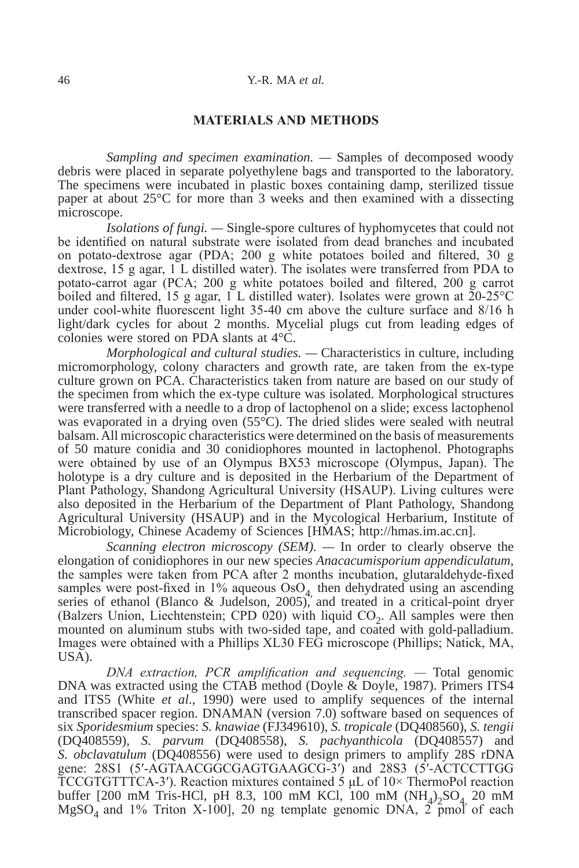#### **MATErIAlS ANd METhodS**

*Sampling and specimen examination. —* Samples of decomposed woody debris were placed in separate polyethylene bags and transported to the laboratory. The specimens were incubated in plastic boxes containing damp, sterilized tissue paper at about 25°C for more than 3 weeks and then examined with a dissecting microscope.

*Isolations of fungi. —* Single-spore cultures of hyphomycetes that could not be identified on natural substrate were isolated from dead branches and incubated on potato-dextrose agar (PDA; 200 g white potatoes boiled and filtered, 30 g dextrose, 15 g agar, 1 L distilled water). The isolates were transferred from PDA to potato-carrot agar (PCA; 200 g white potatoes boiled and filtered, 200 g carrot boiled and filtered, 15 g agar, 1 L distilled water). Isolates were grown at  $20-25\degree C$ under cool-white fluorescent light 35-40 cm above the culture surface and 8/16 h light/dark cycles for about 2 months. Mycelial plugs cut from leading edges of colonies were stored on PDA slants at 4°C.

*Morphological and cultural studies. —* Characteristics in culture, including micromorphology, colony characters and growth rate, are taken from the ex-type culture grown on PCA. Characteristics taken from nature are based on our study of the specimen from which the ex-type culture was isolated. Morphological structures were transferred with a needle to a drop of lactophenol on a slide; excess lactophenol was evaporated in a drying oven (55<sup>°</sup>C). The dried slides were sealed with neutral balsam. All microscopic characteristics were determined on the basis of measurements of 50 mature conidia and 30 conidiophores mounted in lactophenol. Photographs were obtained by use of an Olympus BX53 microscope (Olympus, Japan). The holotype is a dry culture and is deposited in the Herbarium of the Department of Plant Pathology, Shandong Agricultural University (HSAUP). Living cultures were also deposited in the Herbarium of the Department of Plant Pathology, Shandong Agricultural University (HSAUP) and in the Mycological Herbarium, Institute of Microbiology, Chinese Academy of Sciences [HMAS; http://hmas.im.ac.cn].

*Scanning electron microscopy (SEM).* — In order to clearly observe the elongation of conidiophores in our new species *Anacacumisporium appendiculatum*, the samples were taken from PCA after 2 months incubation, glutaraldehyde-fixed samples were post-fixed in 1% aqueous  $OsO<sub>4</sub>$  then dehydrated using an ascending series of ethanol (Blanco & Judelson, 2005), and treated in a critical-point dryer (Balzers Union, Liechtenstein; CPD 020) with liquid  $CO<sub>2</sub>$ . All samples were then mounted on aluminum stubs with two-sided tape, and coated with gold-palladium. Images were obtained with a Phillips XL30 FEG microscope (Phillips; Natick, MA, USA).

*DNA extraction, PCR amplification and sequencing. —* Total genomic DNA was extracted using the CTAB method (Doyle & Doyle, 1987). Primers ITS4 and ITS5 (White *et al*., 1990) were used to amplify sequences of the internal transcribed spacer region. DNAMAN (version 7.0) software based on sequences of six *Sporidesmium* species: *S. knawiae* (FJ349610), *S. tropicale* (DQ408560), *S. tengii* (DQ408559), *S. parvum* (DQ408558), *S. pachyanthicola* (DQ408557) and *S. obclavatulum* (DQ408556) were used to design primers to amplify 28S rDNA gene: 28S1 (5′-AGTAACGGCGAGTGAAGCG-3′) and 28S3 (5′-ACTCCTTGG TCCGTGTTTCA-3′). Reaction mixtures contained 5 μL of 10× ThermoPol reaction buffer [200 mM Tris-HCl, pH 8.3, 100 mM KCl, 100 mM  $(NH_4)_{2}SO_4$  20 mM  $MgSO<sub>4</sub>$  and 1% Triton X-100], 20 ng template genomic DNA,  $2^{2}$  pmol of each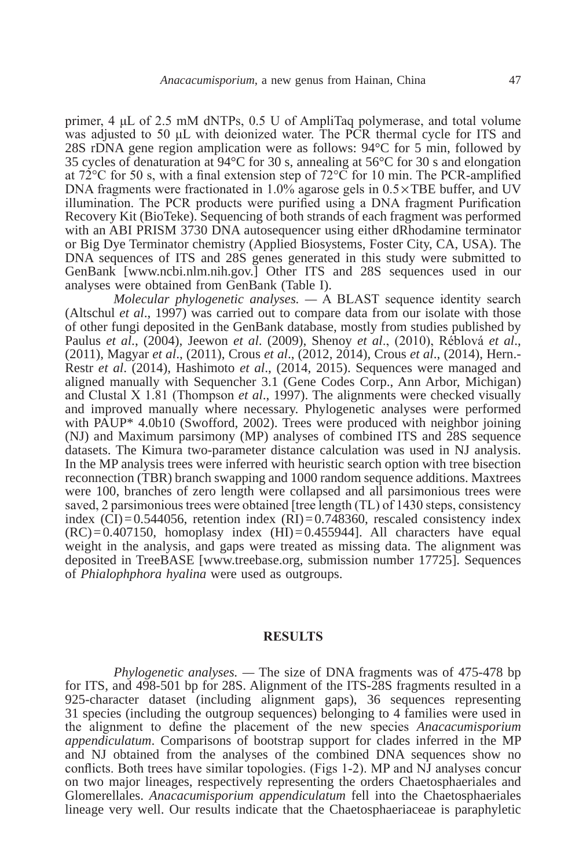primer, 4 μL of 2.5 mM dNTPs, 0.5 U of AmpliTaq polymerase, and total volume was adjusted to 50 μL with deionized water. The PCR thermal cycle for ITS and 28S rDNA gene region amplication were as follows: 94°C for 5 min, followed by 35 cycles of denaturation at 94°C for 30 s, annealing at 56°C for 30 s and elongation at 72 $^{\circ}$ C for 50 s, with a final extension step of 72 $^{\circ}$ C for 10 min. The PCR-amplified DNA fragments were fractionated in  $1.0\%$  agarose gels in  $0.5 \times$ TBE buffer, and UV illumination. The PCR products were purified using a DNA fragment Purification Recovery Kit (BioTeke). Sequencing of both strands of each fragment was performed with an ABI PRISM 3730 DNA autosequencer using either dRhodamine terminator or Big Dye Terminator chemistry (Applied Biosystems, Foster City, CA, USA). The DNA sequences of ITS and 28S genes generated in this study were submitted to GenBank [www.ncbi.nlm.nih.gov.] Other ITS and 28S sequences used in our analyses were obtained from GenBank (Table I).

*Molecular phylogenetic analyses. —* A BLAST sequence identity search (Altschul *et al*., 1997) was carried out to compare data from our isolate with those of other fungi deposited in the GenBank database, mostly from studies published by Paulus *et al*., (2004), Jeewon *et al*. (2009), Shenoy *et al*., (2010), Réblová *et al*., (2011), Magyar *et al*., (2011), Crous *et al*., (2012, 2014), Crous *et al*., (2014), Hern.- Restr *et al*. (2014), Hashimoto *et al*., (2014, 2015). Sequences were managed and aligned manually with Sequencher 3.1 (Gene Codes Corp., Ann Arbor, Michigan) and Clustal X 1.81 (Thompson *et al*., 1997). The alignments were checked visually and improved manually where necessary. Phylogenetic analyses were performed with PAUP\* 4.0b10 (Swofford, 2002). Trees were produced with neighbor joining (NJ) and Maximum parsimony (MP) analyses of combined ITS and 28S sequence datasets. The Kimura two-parameter distance calculation was used in NJ analysis. In the MP analysis trees were inferred with heuristic search option with tree bisection reconnection (TBR) branch swapping and 1000 random sequence additions. Maxtrees were 100, branches of zero length were collapsed and all parsimonious trees were saved, 2 parsimonious trees were obtained [tree length (TL) of 1430 steps, consistency index  $\overline{(CI)} = 0.544056$ , retention index  $\overline{(RI)} = 0.748360$ , rescaled consistency index  $(RC) = 0.407150$ , homoplasy index  $(HI) = 0.455944$ . All characters have equal weight in the analysis, and gaps were treated as missing data. The alignment was deposited in TreeBASE [www.treebase.org, submission number 17725]. Sequences of *Phialophphora hyalina* were used as outgroups.

#### **rESulTS**

*Phylogenetic analyses. —* The size of DNA fragments was of 475-478 bp for ITS, and 498-501 bp for 28S. Alignment of the ITS-28S fragments resulted in a 925-character dataset (including alignment gaps), 36 sequences representing 31 species (including the outgroup sequences) belonging to 4 families were used in the alignment to define the placement of the new species *Anacacumisporium appendiculatum*. Comparisons of bootstrap support for clades inferred in the MP and NJ obtained from the analyses of the combined DNA sequences show no conflicts. Both trees have similar topologies. (Figs 1-2). MP and NJ analyses concur on two major lineages, respectively representing the orders Chaetosphaeriales and Glomerellales. *Anacacumisporium appendiculatum* fell into the Chaetosphaeriales lineage very well. Our results indicate that the Chaetosphaeriaceae is paraphyletic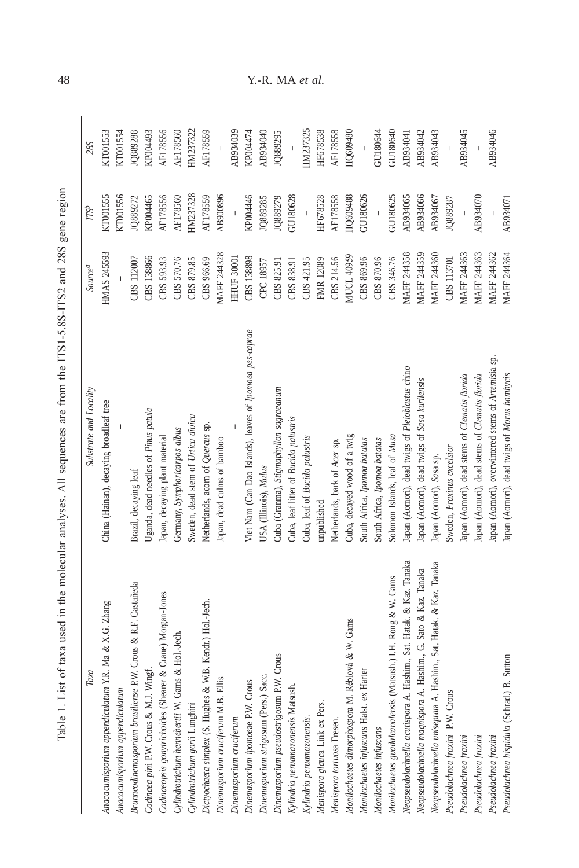| $\sim$ $\sim$ $\sim$<br>í                                                                                        |
|------------------------------------------------------------------------------------------------------------------|
|                                                                                                                  |
| ļ<br>$\ddot{\phantom{a}}$<br>]<br>}<br>i                                                                         |
| i                                                                                                                |
| THE TO THE THE<br>l                                                                                              |
|                                                                                                                  |
| $\ddot{\phantom{a}}$                                                                                             |
|                                                                                                                  |
| <b>SACAR CAR C</b>                                                                                               |
|                                                                                                                  |
|                                                                                                                  |
| ï                                                                                                                |
| i di controllere della controllere della controllere della controllere della controllere della controllere della |
|                                                                                                                  |
| Togo actrice in case case and converted to                                                                       |
|                                                                                                                  |
|                                                                                                                  |
|                                                                                                                  |
| - 11.11.11                                                                                                       |
|                                                                                                                  |
| ļ                                                                                                                |
| I<br>۱                                                                                                           |
| lablu<br>$\ddot{\phantom{0}}$<br>ŀ<br>į                                                                          |

| Substrate and Locality                                   | <b>Source</b> <sup>a</sup>     | $T S^b$                                                                                                                                                                                                                                                                                                                                                                          | <b>28S</b>     |
|----------------------------------------------------------|--------------------------------|----------------------------------------------------------------------------------------------------------------------------------------------------------------------------------------------------------------------------------------------------------------------------------------------------------------------------------------------------------------------------------|----------------|
| China (Hainan), decaying broadleaf tree                  | <b>HMAS 245593</b>             | KT001555                                                                                                                                                                                                                                                                                                                                                                         | KT001553       |
|                                                          |                                | KT001556                                                                                                                                                                                                                                                                                                                                                                         | KT001554       |
| Brazil, decaying leaf                                    | CBS 112007                     | 1Q889272                                                                                                                                                                                                                                                                                                                                                                         | JQ889288       |
| Uganda, dead needles of Pinus patula                     | CBS 138866                     | KP004465                                                                                                                                                                                                                                                                                                                                                                         | KP004493       |
|                                                          | CBS 593.93                     | AF178556                                                                                                                                                                                                                                                                                                                                                                         | AF178556       |
| Germany, Symphoricarpos albus                            | CBS 570.76                     | AF178560                                                                                                                                                                                                                                                                                                                                                                         | AF178560       |
| Sweden, dead stem of Urtica dioica                       | CBS 879.85                     | HM237328                                                                                                                                                                                                                                                                                                                                                                         | HM237322       |
| Netherlands, acorn of Quercus sp.                        | CBS 966.69                     | AF178559                                                                                                                                                                                                                                                                                                                                                                         | AF178559       |
| Japan, dead culms of bamboo                              | <b>MAFF 244328</b>             | AB900896                                                                                                                                                                                                                                                                                                                                                                         | $\overline{1}$ |
|                                                          | <b>HHUF 30001</b>              |                                                                                                                                                                                                                                                                                                                                                                                  | AB934039       |
| Viet Nam (Can Dao Islands), leaves of Ipomoea pes-caprae | CBS 138898                     | KP004446                                                                                                                                                                                                                                                                                                                                                                         | KP004474       |
| USA (Illinois), Malus                                    | CPC 18957                      | 1Q889285                                                                                                                                                                                                                                                                                                                                                                         | AB934040       |
| Cuba (Granma), Stigmaphyllon sagraeanum                  | CBS 825.91                     | 1Q889279                                                                                                                                                                                                                                                                                                                                                                         | JQ889295       |
| Cuba, leaf litter of Bucida palustris                    | CBS 838.91                     | GU180628                                                                                                                                                                                                                                                                                                                                                                         |                |
| Cuba, leaf of Bucida palustris                           | CBS 421.95                     | $\mathbf{I}$                                                                                                                                                                                                                                                                                                                                                                     | HM237325       |
| unpublished                                              | FMR 12089                      | HF678528                                                                                                                                                                                                                                                                                                                                                                         | HF678538       |
| Netherlands, bark of Acer sp.                            | CBS 214.56                     | AF178558                                                                                                                                                                                                                                                                                                                                                                         | AF178558       |
| Cuba, decayed wood of a twig                             | <b>MUCL 40959</b>              | 38 <b>F609QE</b>                                                                                                                                                                                                                                                                                                                                                                 | HQ609480       |
| South Africa, Ipomoa batatas                             | CBS 869.96                     | GU180626                                                                                                                                                                                                                                                                                                                                                                         |                |
| South Africa, Ipomoa batatas                             | CBS 870.96                     | $\begin{array}{c} \rule{0pt}{2.5ex} \rule{0pt}{2.5ex} \rule{0pt}{2.5ex} \rule{0pt}{2.5ex} \rule{0pt}{2.5ex} \rule{0pt}{2.5ex} \rule{0pt}{2.5ex} \rule{0pt}{2.5ex} \rule{0pt}{2.5ex} \rule{0pt}{2.5ex} \rule{0pt}{2.5ex} \rule{0pt}{2.5ex} \rule{0pt}{2.5ex} \rule{0pt}{2.5ex} \rule{0pt}{2.5ex} \rule{0pt}{2.5ex} \rule{0pt}{2.5ex} \rule{0pt}{2.5ex} \rule{0pt}{2.5ex} \rule{0$ | GU180644       |
| Solomon Islands, leaf of Musa                            | CBS 346.76                     | GU180625                                                                                                                                                                                                                                                                                                                                                                         | GU180640       |
| Japan (Aomori), dead twigs of Pleioblastus chino         | <b>MAFF 244358</b>             | AB934065                                                                                                                                                                                                                                                                                                                                                                         | AB934041       |
| Japan (Aomori), dead twigs of Sasa kurilensis            | MAFF 244359                    | AB934066                                                                                                                                                                                                                                                                                                                                                                         | AB934042       |
| Japan (Aomori), Sasa sp.                                 | MAFF 244360                    | AB934067                                                                                                                                                                                                                                                                                                                                                                         | AB934043       |
| Sweden, Fraxinus excelsior                               | CBS 113701                     | JQ889287                                                                                                                                                                                                                                                                                                                                                                         | $\overline{1}$ |
| Japan (Aomori), dead stems of Clematis florida           | MAFF 244363                    | $\overline{1}$                                                                                                                                                                                                                                                                                                                                                                   | AB934045       |
| Japan (Aomori), dead stems of Clematis florida           | MAFF 244363                    | AB934070                                                                                                                                                                                                                                                                                                                                                                         | $\mathbf I$    |
| Japan (Aomori), overwintered stems of Artemisia sp.      | MAFF 244362                    |                                                                                                                                                                                                                                                                                                                                                                                  | AB934046       |
| Japan (Aomori), dead twigs of Morus bombycis             | <b>MAFF 244364</b>             | AB934071                                                                                                                                                                                                                                                                                                                                                                         |                |
|                                                          | Japan, decaying plant material |                                                                                                                                                                                                                                                                                                                                                                                  |                |

48 Y.-R. MA *et al.*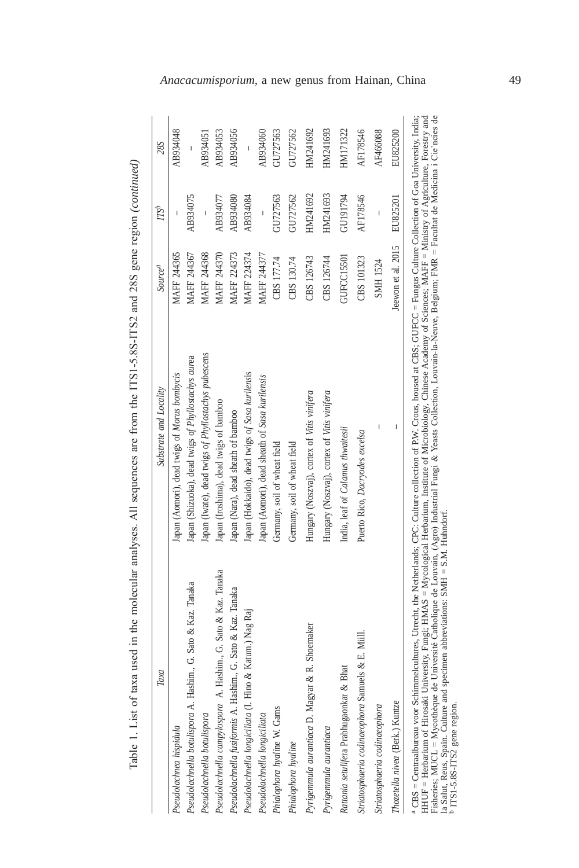| i                       |
|-------------------------|
| Ï                       |
|                         |
|                         |
|                         |
|                         |
| ֚֘֝                     |
|                         |
|                         |
|                         |
|                         |
|                         |
| j                       |
| ֚֚֚֬<br>ï               |
| ׇׇ֚֘֝֡                  |
|                         |
|                         |
|                         |
|                         |
| ׇ֘֒                     |
| ֖֖֖֖֢ׅ֢ׅ֢ׅ֖֚֚֚֚֚֚֚֚֚֬֓֓ |
| ļ<br>l                  |
| ī                       |
|                         |
|                         |
|                         |
|                         |
| j                       |
| ļ                       |
|                         |
|                         |
| $\vdots$                |
|                         |
|                         |
| i                       |
|                         |
|                         |
|                         |
|                         |
|                         |
|                         |
|                         |
|                         |
|                         |
|                         |
|                         |
|                         |
| l<br>ì                  |
|                         |
|                         |
|                         |
|                         |
|                         |
| j                       |
|                         |
| j                       |
|                         |
|                         |
|                         |
|                         |
|                         |
|                         |
|                         |
|                         |
|                         |
|                         |
| ĺ                       |
|                         |
|                         |
|                         |
|                         |
|                         |
|                         |
|                         |
|                         |
|                         |
|                         |
|                         |
|                         |
|                         |
|                         |
| j                       |
|                         |
|                         |
|                         |
| Ś                       |
| ā<br>Ì<br>ŀ             |

| Taxa                                                           | Substrate and Locality                               | <b>Source</b> <sup>a</sup> | $T S^b$                  | 28S      |
|----------------------------------------------------------------|------------------------------------------------------|----------------------------|--------------------------|----------|
| Pseudolachnea hispidula                                        | Japan (Aomori), dead twigs of Morus bombycis         | MAFF 244365                |                          | AB934048 |
| Pseudolachnella botulispora A. Hashim., G. Sato & Kaz. Tanaka  | Japan (Shizuoka), dead twigs of Phyllostachys aurea  | MAFF 244367                | AB934075                 | I        |
| Pseudolachnella botulispora                                    | Japan (Iwate), dead twigs of Phyllostachys pubescens | MAFF 244368                | $\overline{\phantom{a}}$ | AB934051 |
| Pseudolachnella campylospora A. Hashim., G. Sato & Kaz. Tanaka | Japan (Iroshima), dead twigs of bamboo               | MAFF 244370                | AB934077                 | AB934053 |
| Pseudolachnella fusiformis A. Hashim., G. Sato & Kaz. Tanaka   | Japan (Nara), dead sheath of bamboo                  | <b>MAFF 224373</b>         | AB934080                 | AB934056 |
| Pseudolachnella longiciliata (I. Hino & Katum.) Nag Raj        | Japan (Hokkaido), dead twigs of Sasa kurilensis      | MAFF 224374                | AB934084                 |          |
| Pseudolachnella longiciliata                                   | Japan (Aomori), dead sheath of Sasa kurilensis       | <b>MAFF 244377</b>         | $\overline{\phantom{a}}$ | AB934060 |
| Phialophora hyaline W. Gams                                    | Germany, soil of wheat field                         | CBS 177.74                 | GU727563                 | GU727563 |
| Phialophora hyaline                                            | Germany, soil of wheat field                         | CBS 130.74                 | GU727562                 | GU727562 |
| R. Shoemaker<br>Pyrigemmula aurantiaca D. Magyar &             | Hungary (Noszvaj), cortex of Vitis vinifera          | CBS 126743                 | HM241692                 | HM241692 |
| Pyrigemmula aurantiaca                                         | Hungary (Noszvaj), cortex of Vitis vinifera          | CBS 126744                 | HM241693                 | HM241693 |
| Rattania setulifera Prabhugaonkar & Bhat                       | India, leaf of Calamus thwaitesii                    | GUFCC15501                 | GU191794                 | HM171322 |
| Striatosphaeria codinaeophora Samuels & E. Miill.              | Puerto Rico, Dacryodes excelsa                       | CBS 101323                 | AF178546                 | AF178546 |
| Striatosphaeria codinaeophora                                  | I                                                    | SMH 1524                   | I                        | AF466088 |
| Thozetella nivea (Berk.) Kuntze                                | I                                                    | Jeewon et al. 2015         | EU825201                 | EU825200 |

HHUF = Herbarium of Hrosaki University, Fungi; HMAS = Mycological Herbarium, Institute of Microbiology, Chinese Academy of Sciences; MAFF = Ministry of Agriculture, Forestry and<br>Fisheries; MUCL = Mycothèque de Université HHUF = Herbarium of Hirosaki University, Fungi; HMAS = Mycological Herbarium, Institute of Microbiology, Chinese Academy of Sciences; MAFF = Ministry of Agriculture, Forestry and Fisheries; MUCL = Mycothèque de Université Catholique de Louvain, (Agro) Industrial Fungi & Yeasts Collection, Louvain-la-Neuve, Belgium; FMR = Facultat de Medicina i Cie`ncies de la Salut, Reus, Spain. Culture and specimen abbreviations: SMH = S.M. Huhndorf. b ITS1-5.8S-ITS2 gene region.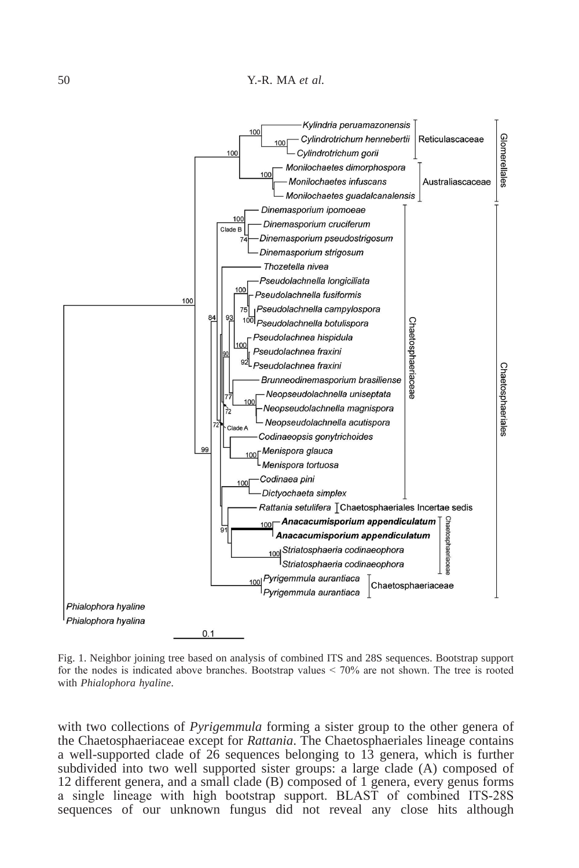

Fig. 1. Neighbor joining tree based on analysis of combined ITS and 28S sequences. Bootstrap support for the nodes is indicated above branches. Bootstrap values < 70% are not shown. The tree is rooted with *Phialophora hyaline*.

with two collections of *Pyrigemmula* forming a sister group to the other genera of the Chaetosphaeriaceae except for *Rattania*. The Chaetosphaeriales lineage contains a well-supported clade of 26 sequences belonging to 13 genera, which is further subdivided into two well supported sister groups: a large clade (A) composed of 12 different genera, and a small clade (B) composed of 1 genera, every genus forms a single lineage with high bootstrap support. BLAST of combined ITS-28S sequences of our unknown fungus did not reveal any close hits although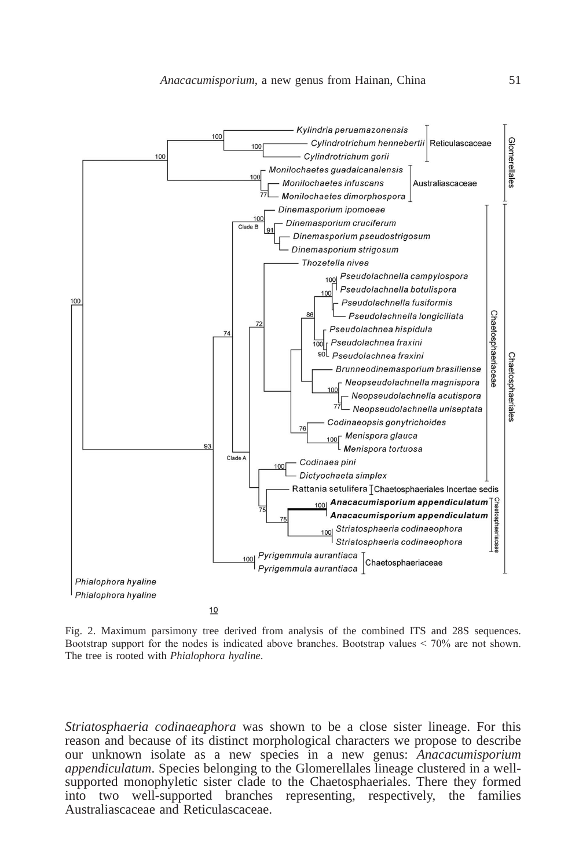

Fig. 2. Maximum parsimony tree derived from analysis of the combined ITS and 28S sequences. Bootstrap support for the nodes is indicated above branches. Bootstrap values < 70% are not shown. The tree is rooted with *Phialophora hyaline*.

*Striatosphaeria codinaeaphora* was shown to be a close sister lineage. For this reason and because of its distinct morphological characters we propose to describe our unknown isolate as a new species in a new genus: *Anacacumisporium appendiculatum*. Species belonging to the Glomerellales lineage clustered in a wellsupported monophyletic sister clade to the Chaetosphaeriales. There they formed into two well-supported branches representing, respectively, the families Australiascaceae and Reticulascaceae.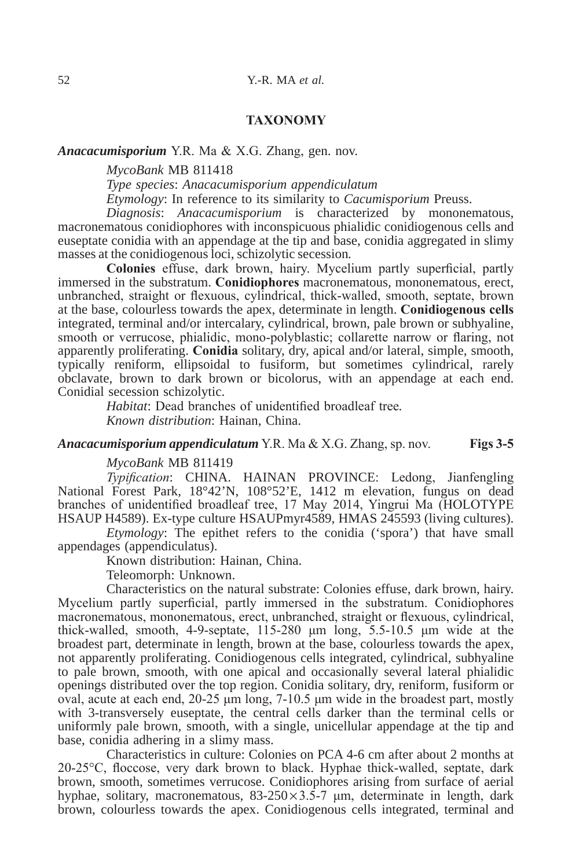## **TAXoNoMY**

#### *Anacacumisporium* Y.R. Ma & X.G. Zhang, gen. nov.

*MycoBank* MB 811418

*Type species*: *Anacacumisporium appendiculatum*

*Etymology*: In reference to its similarity to *Cacumisporium* Preuss.

*Diagnosis*: *Anacacumisporium* is characterized by mononematous, macronematous conidiophores with inconspicuous phialidic conidiogenous cells and euseptate conidia with an appendage at the tip and base, conidia aggregated in slimy masses at the conidiogenous loci, schizolytic secession*.*

**colonies** effuse, dark brown, hairy. Mycelium partly superficial, partly immersed in the substratum. **conidiophores** macronematous, mononematous, erect, unbranched, straight or flexuous, cylindrical, thick-walled, smooth, septate, brown at the base, colourless towards the apex, determinate in length. **conidiogenous cells**  integrated, terminal and/or intercalary, cylindrical, brown, pale brown or subhyaline, smooth or verrucose, phialidic, mono-polyblastic; collarette narrow or flaring, not apparently proliferating. **conidia** solitary, dry, apical and/or lateral, simple, smooth, typically reniform, ellipsoidal to fusiform, but sometimes cylindrical, rarely obclavate, brown to dark brown or bicolorus, with an appendage at each end. Conidial secession schizolytic.

> *Habitat*: Dead branches of unidentified broadleaf tree*. Known distribution*: Hainan, China.

*Anacacumisporium appendiculatum* Y.R. Ma & X.G. Zhang, sp. nov. **Figs 3-5**

#### *MycoBank* MB 811419

*Typification*: CHINA. HAINAN PROVINCE: Ledong, Jianfengling National Forest Park, 18°42'N, 108°52'E, 1412 m elevation, fungus on dead branches of unidentified broadleaf tree, 17 May 2014, Yingrui Ma (HOLOTYPE HSAUP H4589). Ex-type culture HSAUPmyr4589, HMAS 245593 (living cultures).

*Etymology*: The epithet refers to the conidia ('spora') that have small appendages (appendiculatus).

Known distribution: Hainan, China.

Teleomorph: Unknown.

Characteristics on the natural substrate: Colonies effuse, dark brown, hairy. Mycelium partly superficial, partly immersed in the substratum. Conidiophores macronematous, mononematous, erect, unbranched, straight or flexuous, cylindrical, thick-walled, smooth, 4-9-septate, 115-280 μm long, 5.5-10.5 μm wide at the broadest part, determinate in length, brown at the base, colourless towards the apex, not apparently proliferating. Conidiogenous cells integrated, cylindrical, subhyaline to pale brown, smooth, with one apical and occasionally several lateral phialidic openings distributed over the top region. Conidia solitary, dry, reniform, fusiform or oval, acute at each end, 20-25 μm long, 7-10.5 μm wide in the broadest part, mostly with 3-transversely euseptate, the central cells darker than the terminal cells or uniformly pale brown, smooth, with a single, unicellular appendage at the tip and base, conidia adhering in a slimy mass.

Characteristics in culture: Colonies on PCA 4-6 cm after about 2 months at 20-25°C, floccose, very dark brown to black. Hyphae thick-walled, septate, dark brown, smooth, sometimes verrucose. Conidiophores arising from surface of aerial hyphae, solitary, macronematous,  $83-250 \times 3.5-7$  µm, determinate in length, dark brown, colourless towards the apex. Conidiogenous cells integrated, terminal and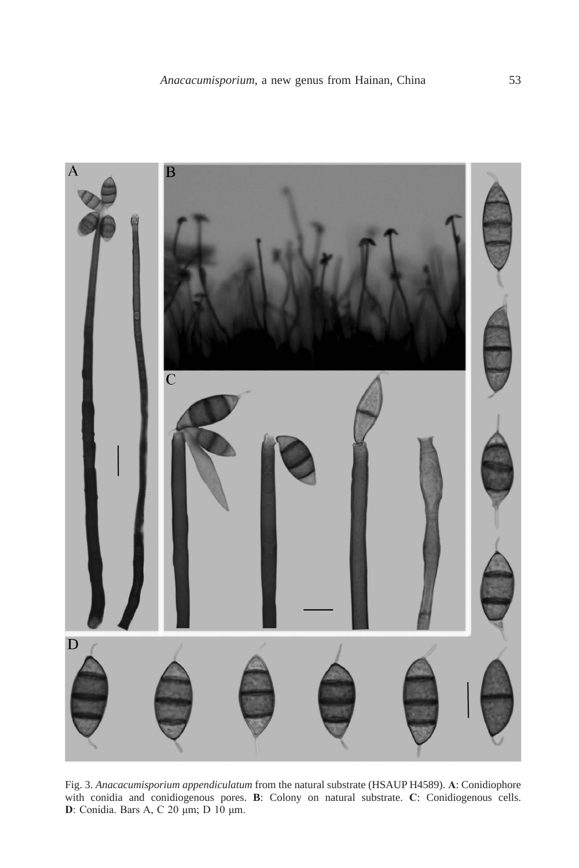

Fig. 3. *Anacacumisporium appendiculatum* from the natural substrate (HSAUP H4589). **A**: Conidiophore with conidia and conidiogenous pores. **B**: Colony on natural substrate. **c**: Conidiogenous cells. **d**: Conidia. Bars A, C 20 μm; D 10 μm.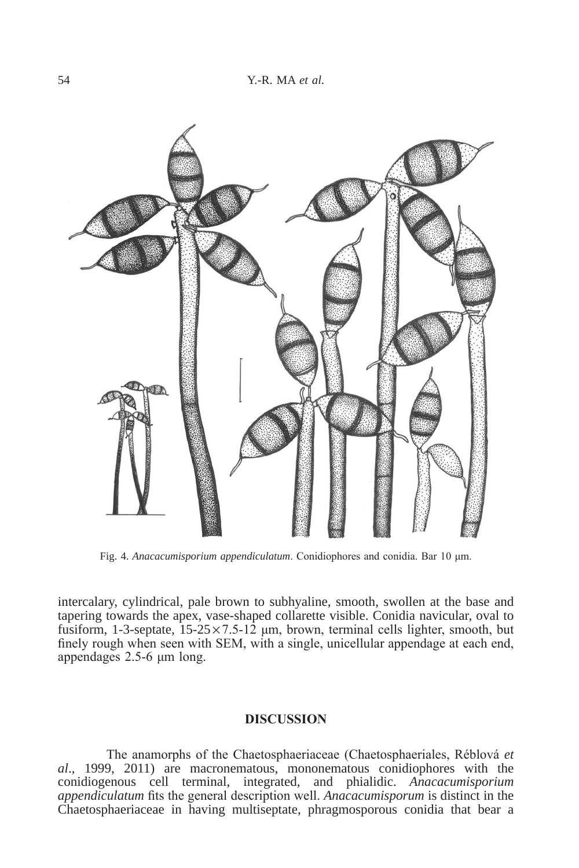

Fig. 4. *Anacacumisporium appendiculatum*. Conidiophores and conidia. Bar 10 μm.

intercalary, cylindrical, pale brown to subhyaline, smooth, swollen at the base and tapering towards the apex, vase-shaped collarette visible. Conidia navicular, oval to fusiform, 1-3-septate,  $15-25 \times 7.5-12$  µm, brown, terminal cells lighter, smooth, but finely rough when seen with SEM, with a single, unicellular appendage at each end, appendages 2.5-6 μm long.

## **dIScuSSIoN**

The anamorphs of the Chaetosphaeriaceae (Chaetosphaeriales, Réblová *et al*., 1999, 2011) are macronematous, mononematous conidiophores with the conidiogenous cell terminal, integrated, and phialidic. *Anacacumisporium appendiculatum* fits the general description well. *Anacacumisporum* is distinct in the Chaetosphaeriaceae in having multiseptate, phragmosporous conidia that bear a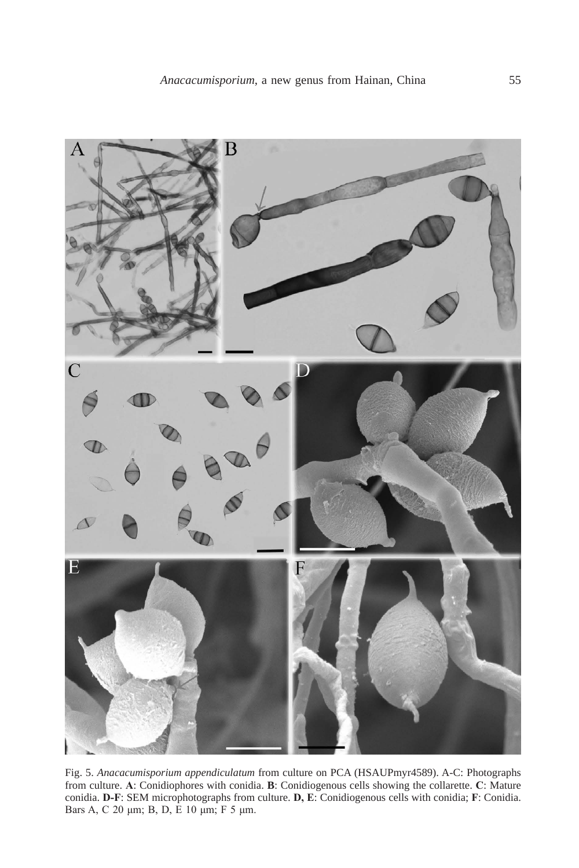

Fig. 5. *Anacacumisporium appendiculatum* from culture on PCA (HSAUPmyr4589). A-C: Photographs from culture. **A**: Conidiophores with conidia. **B**: Conidiogenous cells showing the collarette. **c**: Mature conidia. **d-F**: SEM microphotographs from culture. **d, E**: Conidiogenous cells with conidia; **F**: Conidia. Bars A, C 20 μm; B, D, E 10 μm; F 5 μm.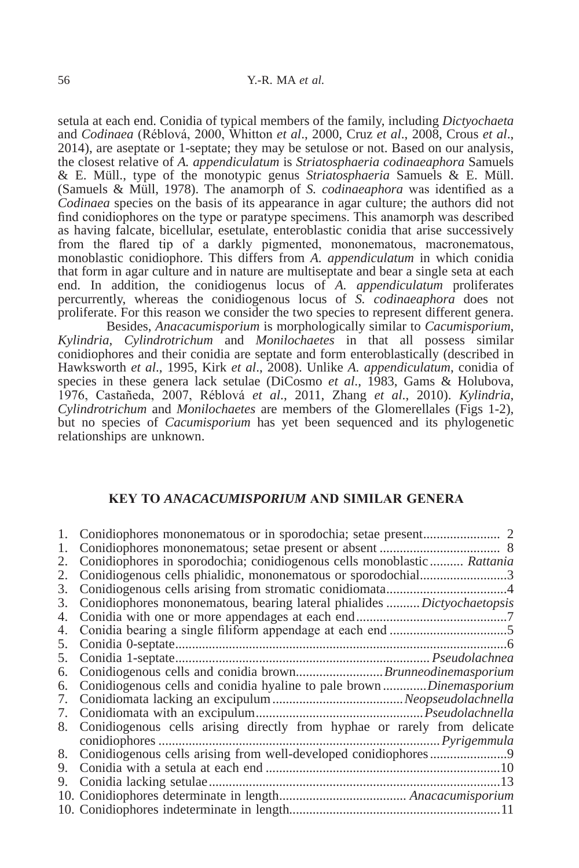setula at each end. Conidia of typical members of the family, including *Dictyochaeta* and *Codinaea* (Réblová, 2000, Whitton *et al*., 2000, Cruz *et al*., 2008, Crous *et al*., 2014), are aseptate or 1-septate; they may be setulose or not. Based on our analysis, the closest relative of *A. appendiculatum* is *Striatosphaeria codinaeaphora* Samuels & E. Müll., type of the monotypic genus *Striatosphaeria* Samuels & E. Müll. (Samuels & Müll, 1978). The anamorph of *S. codinaeaphora* was identified as a *Codinaea* species on the basis of its appearance in agar culture; the authors did not find conidiophores on the type or paratype specimens. This anamorph was described as having falcate, bicellular, esetulate, enteroblastic conidia that arise successively from the flared tip of a darkly pigmented, mononematous, macronematous, monoblastic conidiophore. This differs from *A. appendiculatum* in which conidia that form in agar culture and in nature are multiseptate and bear a single seta at each end. In addition, the conidiogenus locus of *A. appendiculatum* proliferates percurrently, whereas the conidiogenous locus of *S. codinaeaphora* does not proliferate. For this reason we consider the two species to represent different genera.

Besides, *Anacacumisporium* is morphologically similar to *Cacumisporium*, *Kylindria*, *Cylindrotrichum* and *Monilochaetes* in that all possess similar conidiophores and their conidia are septate and form enteroblastically (described in Hawksworth *et al*., 1995, Kirk *et al*., 2008). Unlike *A. appendiculatum*, conidia of species in these genera lack setulae (DiCosmo *et al*., 1983, Gams & Holubova, 1976, Castañeda, 2007, Réblová *et al*., 2011, Zhang *et al*., 2010). *Kylindria*, *Cylindrotrichum* and *Monilochaetes* are members of the Glomerellales (Figs 1-2), but no species of *Cacumisporium* has yet been sequenced and its phylogenetic relationships are unknown.

#### **KEY To** *AnACACuMiSPoRiuM* **ANd SIMIlAr GENErA**

| 1. |                                                                          |
|----|--------------------------------------------------------------------------|
| 1. |                                                                          |
| 2. | Conidiophores in sporodochia; conidiogenous cells monoblastic  Rattania  |
| 2. | Conidiogenous cells phialidic, mononematous or sporodochial3             |
| 3. |                                                                          |
| 3. | Conidiophores mononematous, bearing lateral phialides Dictyochaetopsis   |
| 4. |                                                                          |
| 4. |                                                                          |
| 5. |                                                                          |
| 5. |                                                                          |
| 6. |                                                                          |
| 6. | Conidiogenous cells and conidia hyaline to pale brownDinemasporium       |
| 7. |                                                                          |
| 7. |                                                                          |
| 8. | Conidiogenous cells arising directly from hyphae or rarely from delicate |
|    |                                                                          |
| 8. |                                                                          |
| 9. |                                                                          |
| 9. |                                                                          |
|    |                                                                          |
|    |                                                                          |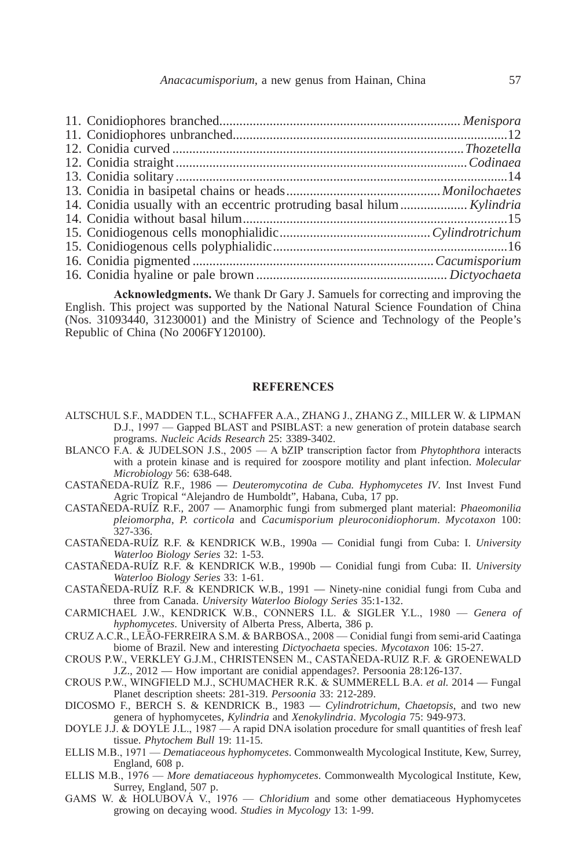| 14. Conidia usually with an eccentric protruding basal hilum Kylindria |  |
|------------------------------------------------------------------------|--|
|                                                                        |  |
|                                                                        |  |
|                                                                        |  |
|                                                                        |  |
|                                                                        |  |

**Acknowledgments.** We thank Dr Gary J. Samuels for correcting and improving the English. This project was supported by the National Natural Science Foundation of China (Nos. 31093440, 31230001) and the Ministry of Science and Technology of the People's Republic of China (No 2006FY120100).

#### **rEFErENcES**

- ALTSCHUL S.F., MADDEN T.L., SCHAFFER A.A., ZHANG J., ZHANG Z., MILLER W. & LIPMAN D.J., 1997 — Gapped BLAST and PSIBLAST: a new generation of protein database search programs. *Nucleic Acids Research* 25: 3389-3402.
- BLANCO F.A. & JUDELSON J.S., 2005 A bZIP transcription factor from *Phytophthora* interacts with a protein kinase and is required for zoospore motility and plant infection. *Molecular Microbiology* 56: 638-648.
- CASTAÑEDA-RUÍZ R.F., 1986 *Deuteromycotina de Cuba. Hyphomycetes IV*. Inst Invest Fund Agric Tropical "Alejandro de Humboldt", Habana, Cuba, 17 pp.
- CASTAÑEDA-RUÍZ R.F., 2007 Anamorphic fungi from submerged plant material: *Phaeomonilia pleiomorpha*, *P. corticola* and *Cacumisporium pleuroconidiophorum*. *Mycotaxon* 100: 327-336.
- CASTAÑEDA-RUÍZ R.F. & KENDRICK W.B., 1990a Conidial fungi from Cuba: I. *University Waterloo Biology Series* 32: 1-53.
- CASTAÑEDA-RUÍZ R.F. & KENDRICK W.B., 1990b Conidial fungi from Cuba: II. *University Waterloo Biology Series* 33: 1-61.
- CASTAÑEDA-RUÍZ R.F. & KENDRICK W.B., 1991 Ninety-nine conidial fungi from Cuba and three from Canada. *University Waterloo Biology Series* 35:1-132.
- CARMICHAEL J.W., KENDRICK W.B., CONNERS I.L. & SIGLER Y.L., 1980 *Genera of hyphomycetes*. University of Alberta Press, Alberta, 386 p.
- CRUZ A.C.R., LEĀO-FERREIRA S.M. & BARBOSA., 2008 Conidial fungi from semi-arid Caatinga biome of Brazil. New and interesting *Dictyochaeta* species. *Mycotaxon* 106: 15-27.
- CROUS P.W., VERKLEY G.J.M., CHRISTENSEN M., CASTAÑEDA-RUIZ R.F. & GROENEWALD J.Z., 2012 — How important are conidial appendages?. Persoonia 28:126-137.
- CROUS P.W., WINGFIELD M.J., SCHUMACHER R.K. & SUMMERELL B.A. *et al.* 2014 Fungal Planet description sheets: 281-319. *Persoonia* 33: 212-289.
- DICOSMO F., BERCH S. & KENDRICK B., 1983 *Cylindrotrichum*, *Chaetopsis*, and two new genera of hyphomycetes, *Kylindria* and *Xenokylindria*. *Mycologia* 75: 949-973.
- DOYLE J.J. & DOYLE J.L., 1987 A rapid DNA isolation procedure for small quantities of fresh leaf tissue. *Phytochem Bull* 19: 11-15.
- ELLIS M.B., 1971 *Dematiaceous hyphomycetes*. Commonwealth Mycological Institute, Kew, Surrey, England, 608 p.
- ELLIS M.B., 1976 *More dematiaceous hyphomycetes*. Commonwealth Mycological Institute, Kew, Surrey, England, 507 p.
- GAMS W. & HOLUBOVÁ V., 1976 *Chloridium* and some other dematiaceous Hyphomycetes growing on decaying wood. *Studies in Mycology* 13: 1-99.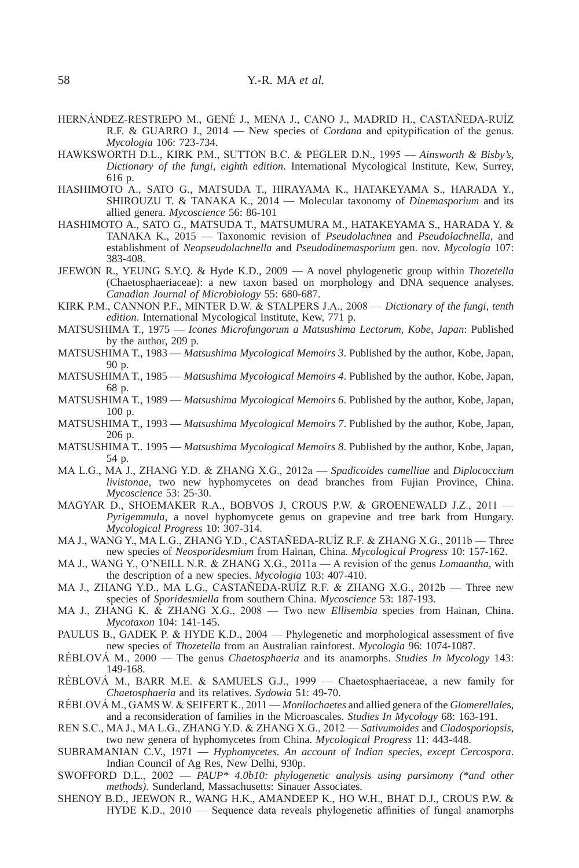- HERNÁNDEZ-RESTREPO M., GENÉ J., MENA J., CANO J., MADRID H., CASTAÑEDA-RUÍZ R.F. & GUARRO J., 2014 — New species of *Cordana* and epitypification of the genus. *Mycologia* 106: 723-734.
- HAWKSWORTH D.L., KIRK P.M., SUTTON B.C. & PEGLER D.N., 1995 *Ainsworth & Bisby's, Dictionary of the fungi, eighth edition*. International Mycological Institute, Kew, Surrey, 616 p.
- HASHIMOTO A., SATO G., MATSUDA T., HIRAYAMA K., HATAKEYAMA S., HARADA Y., SHIROUZU T. & TANAKA K., 2014 — Molecular taxonomy of *Dinemasporium* and its allied genera. *Mycoscience* 56: 86-101
- HASHIMOTO A., SATO G., MATSUDA T., MATSUMURA M., HATAKEYAMA S., HARADA Y. & TANAKA K., 2015 — Taxonomic revision of *Pseudolachnea* and *Pseudolachnella*, and establishment of *Neopseudolachnella* and *Pseudodinemasporium* gen. nov. *Mycologia* 107: 383-408.
- JEEWON R., YEUNG S.Y.Q. & Hyde K.D., 2009 A novel phylogenetic group within *Thozetella* (Chaetosphaeriaceae): a new taxon based on morphology and DNA sequence analyses. *Canadian Journal of Microbiology* 55: 680-687.
- KIRK P.M., CANNON P.F., MINTER D.W. & STALPERS J.A., 2008 *Dictionary of the fungi, tenth edition*. International Mycological Institute, Kew, 771 p.
- MATSUSHIMA T., 1975 *Icones Microfungorum a Matsushima Lectorum, Kobe, Japan*: Published by the author, 209 p.
- MATSUSHIMA T., 1983 *Matsushima Mycological Memoirs 3*. Published by the author, Kobe, Japan, 90 p.
- MATSUSHIMA T., 1985 *Matsushima Mycological Memoirs 4*. Published by the author, Kobe, Japan, 68 p.
- MATSUSHIMA T., 1989 *Matsushima Mycological Memoirs 6*. Published by the author, Kobe, Japan, 100 p.
- MATSUSHIMA T., 1993 *Matsushima Mycological Memoirs 7*. Published by the author, Kobe, Japan, 206 p.
- MATSUSHIMA T.. 1995 *Matsushima Mycological Memoirs 8*. Published by the author, Kobe, Japan, 54 p.
- MA L.G., MA J., ZHANG Y.D. & ZHANG X.G., 2012a *Spadicoides camelliae* and *Diplococcium livistonae*, two new hyphomycetes on dead branches from Fujian Province, China. *Mycoscience* 53: 25-30.
- MAGYAR D., SHOEMAKER R.A., BOBVOS J, CROUS P.W. & GROENEWALD J.Z., 2011 *Pyrigemmula*, a novel hyphomycete genus on grapevine and tree bark from Hungary. *Mycological Progress* 10: 307-314.
- MA J., WANG Y., MA L.G., ZHANG Y.D., CASTAÑEDA-RUÍZ R.F. & ZHANG X.G., 2011b Three new species of *Neosporidesmium* from Hainan, China. *Mycological Progress* 10: 157-162.
- MA J., WANG Y., O'NEILL N.R. & ZHANG X.G., 2011a A revision of the genus *Lomaantha*, with the description of a new species. *Mycologia* 103: 407-410.
- MA J., ZHANG Y.D., MA L.G., CASTAÑEDA-RUÍZ R.F. & ZHANG X.G., 2012b Three new species of *Sporidesmiella* from southern China. *Mycoscience* 53: 187-193.
- MA J., ZHANG K. & ZHANG X.G., 2008 Two new *Ellisembia* species from Hainan, China. *Mycotaxon* 104: 141-145.
- PAULUS B., GADEK P. & HYDE K.D., 2004 Phylogenetic and morphological assessment of five new species of *Thozetella* from an Australian rainforest. *Mycologia* 96: 1074-1087.
- RÉBLOVÁ M., 2000 The genus *Chaetosphaeria* and its anamorphs. *Studies In Mycology* 143: 149-168.
- RÉBLOVÁ M., BARR M.E. & SAMUELS G.J., 1999 Chaetosphaeriaceae, a new family for *Chaetosphaeria* and its relatives. *Sydowia* 51: 49-70.
- RÉBLOVÁ M., GAMS W. & SEIFERT K., 2011 *Monilochaetes* and allied genera of the *Glomerellale*s, and a reconsideration of families in the Microascales. *Studies In Mycology* 68: 163-191.
- REN S.C., MA J., MA L.G., ZHANG Y.D. & ZHANG X.G., 2012 *Sativumoides* and *Cladosporiopsis*, two new genera of hyphomycetes from China. *Mycological Progress* 11: 443-448.
- SUBRAMANIAN C.V., 1971 *Hyphomycetes. An account of Indian species, except Cercospora*. Indian Council of Ag Res, New Delhi, 930p.
- SWOFFORD D.L., 2002 *PAUP\* 4.0b10: phylogenetic analysis using parsimony (\*and other methods)*. Sunderland, Massachusetts: Sinauer Associates.
- SHENOY B.D., JEEWON R., WANG H.K., AMANDEEP K., HO W.H., BHAT D.J., CROUS P.W. & HYDE K.D., 2010 — Sequence data reveals phylogenetic affinities of fungal anamorphs